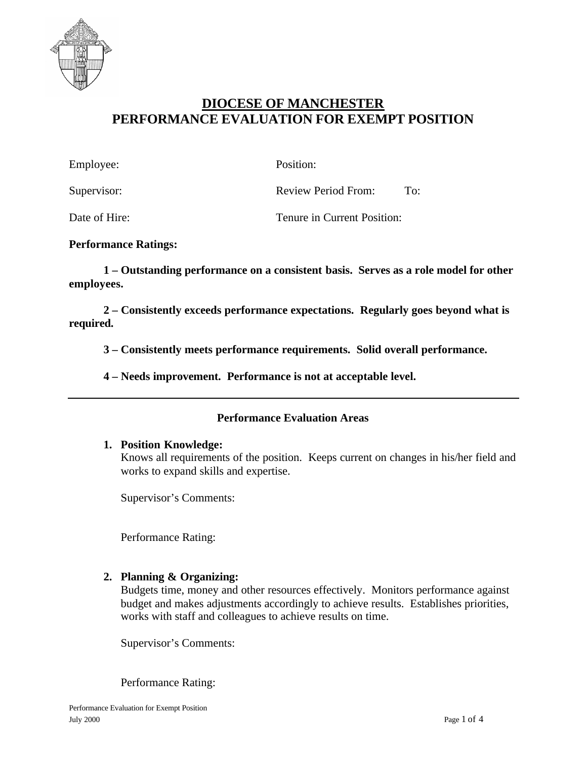

# **DIOCESE OF MANCHESTER PERFORMANCE EVALUATION FOR EXEMPT POSITION**

| Employee:     | Position:                         |
|---------------|-----------------------------------|
| Supervisor:   | <b>Review Period From:</b><br>To: |
| Date of Hire: | Tenure in Current Position:       |

#### **Performance Ratings:**

**1 – Outstanding performance on a consistent basis. Serves as a role model for other employees.**

**2 – Consistently exceeds performance expectations. Regularly goes beyond what is required.**

**3 – Consistently meets performance requirements. Solid overall performance.**

**4 – Needs improvement. Performance is not at acceptable level.**

#### **Performance Evaluation Areas**

#### **1. Position Knowledge:**

Knows all requirements of the position. Keeps current on changes in his/her field and works to expand skills and expertise.

Supervisor's Comments:

Performance Rating:

#### **2. Planning & Organizing:**

Budgets time, money and other resources effectively. Monitors performance against budget and makes adjustments accordingly to achieve results. Establishes priorities, works with staff and colleagues to achieve results on time.

Supervisor's Comments:

Performance Rating: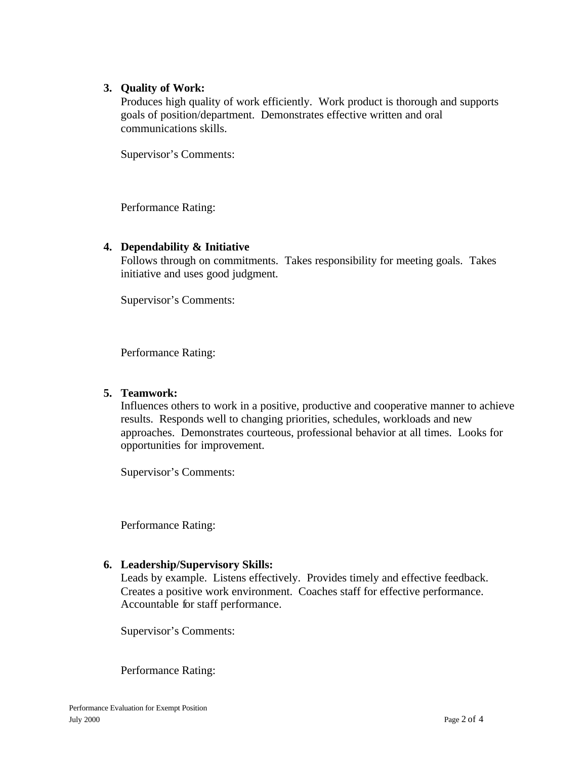## **3. Quality of Work:**

Produces high quality of work efficiently. Work product is thorough and supports goals of position/department. Demonstrates effective written and oral communications skills.

Supervisor's Comments:

Performance Rating:

## **4. Dependability & Initiative**

Follows through on commitments. Takes responsibility for meeting goals. Takes initiative and uses good judgment.

Supervisor's Comments:

Performance Rating:

#### **5. Teamwork:**

Influences others to work in a positive, productive and cooperative manner to achieve results. Responds well to changing priorities, schedules, workloads and new approaches. Demonstrates courteous, professional behavior at all times. Looks for opportunities for improvement.

Supervisor's Comments:

Performance Rating:

# **6. Leadership/Supervisory Skills:**

Leads by example. Listens effectively. Provides timely and effective feedback. Creates a positive work environment. Coaches staff for effective performance. Accountable for staff performance.

Supervisor's Comments:

Performance Rating: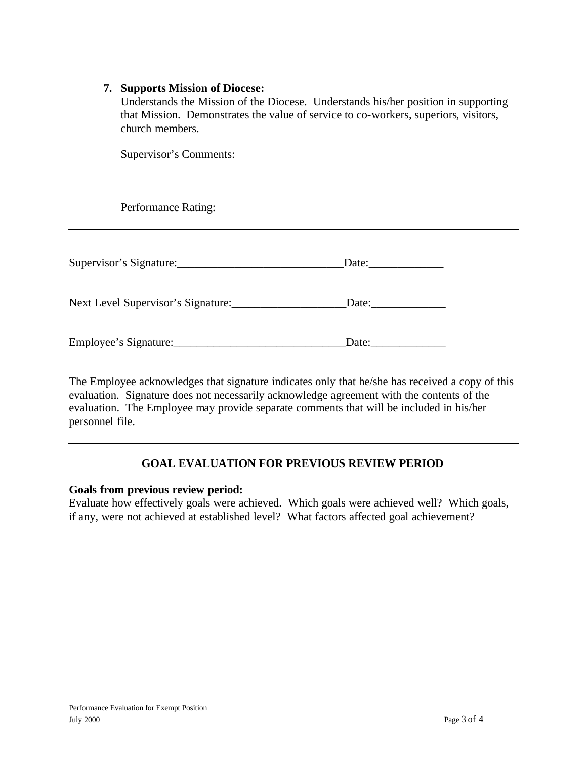## **7. Supports Mission of Diocese:**

Understands the Mission of the Diocese. Understands his/her position in supporting that Mission. Demonstrates the value of service to co-workers, superiors, visitors, church members.

Supervisor's Comments:

Performance Rating:

| Supervisor's Signature:            | Date: |
|------------------------------------|-------|
| Next Level Supervisor's Signature: | Date: |
| Employee's Signature:              | Date: |

The Employee acknowledges that signature indicates only that he/she has received a copy of this evaluation. Signature does not necessarily acknowledge agreement with the contents of the evaluation. The Employee may provide separate comments that will be included in his/her personnel file.

# **GOAL EVALUATION FOR PREVIOUS REVIEW PERIOD**

#### **Goals from previous review period:**

Evaluate how effectively goals were achieved. Which goals were achieved well? Which goals, if any, were not achieved at established level? What factors affected goal achievement?